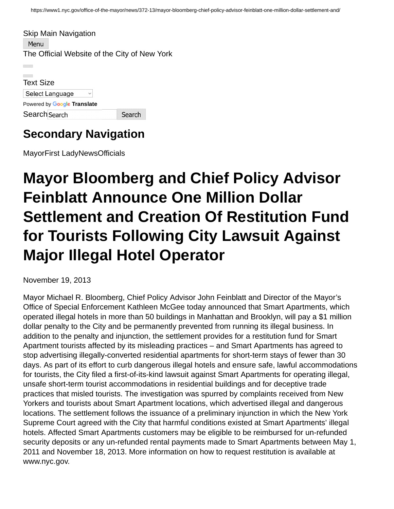|                  | Skip Main Navigation                         |
|------------------|----------------------------------------------|
| Menu             |                                              |
|                  | The Official Website of the City of New York |
|                  |                                              |
|                  |                                              |
| <b>Text Size</b> |                                              |
|                  | $C$ oloot Longuago                           |

∣ Select Language Powered by **Google Translate** Search Search Search

## **Secondary Navigation**

MayorFirst LadyNewsOfficials

## **Mayor Bloomberg and Chief Policy Advisor Feinblatt Announce One Million Dollar Settlement and Creation Of Restitution Fund for Tourists Following City Lawsuit Against Major Illegal Hotel Operator**

November 19, 2013

Mayor Michael R. Bloomberg, Chief Policy Advisor John Feinblatt and Director of the Mayor's Office of Special Enforcement Kathleen McGee today announced that Smart Apartments, which operated illegal hotels in more than 50 buildings in Manhattan and Brooklyn, will pay a \$1 million dollar penalty to the City and be permanently prevented from running its illegal business. In addition to the penalty and injunction, the settlement provides for a restitution fund for Smart Apartment tourists affected by its misleading practices – and Smart Apartments has agreed to stop advertising illegally-converted residential apartments for short-term stays of fewer than 30 days. As part of its effort to curb dangerous illegal hotels and ensure safe, lawful accommodations for tourists, the City filed a first-of-its-kind lawsuit against Smart Apartments for operating illegal, unsafe short-term tourist accommodations in residential buildings and for deceptive trade practices that misled tourists. The investigation was spurred by complaints received from New Yorkers and tourists about Smart Apartment locations, which advertised illegal and dangerous locations. The settlement follows the issuance of a preliminary injunction in which the New York Supreme Court agreed with the City that harmful conditions existed at Smart Apartments' illegal hotels. Affected Smart Apartments customers may be eligible to be reimbursed for un-refunded security deposits or any un-refunded rental payments made to Smart Apartments between May 1, 2011 and November 18, 2013. More information on how to request restitution is available at www.nyc.gov.